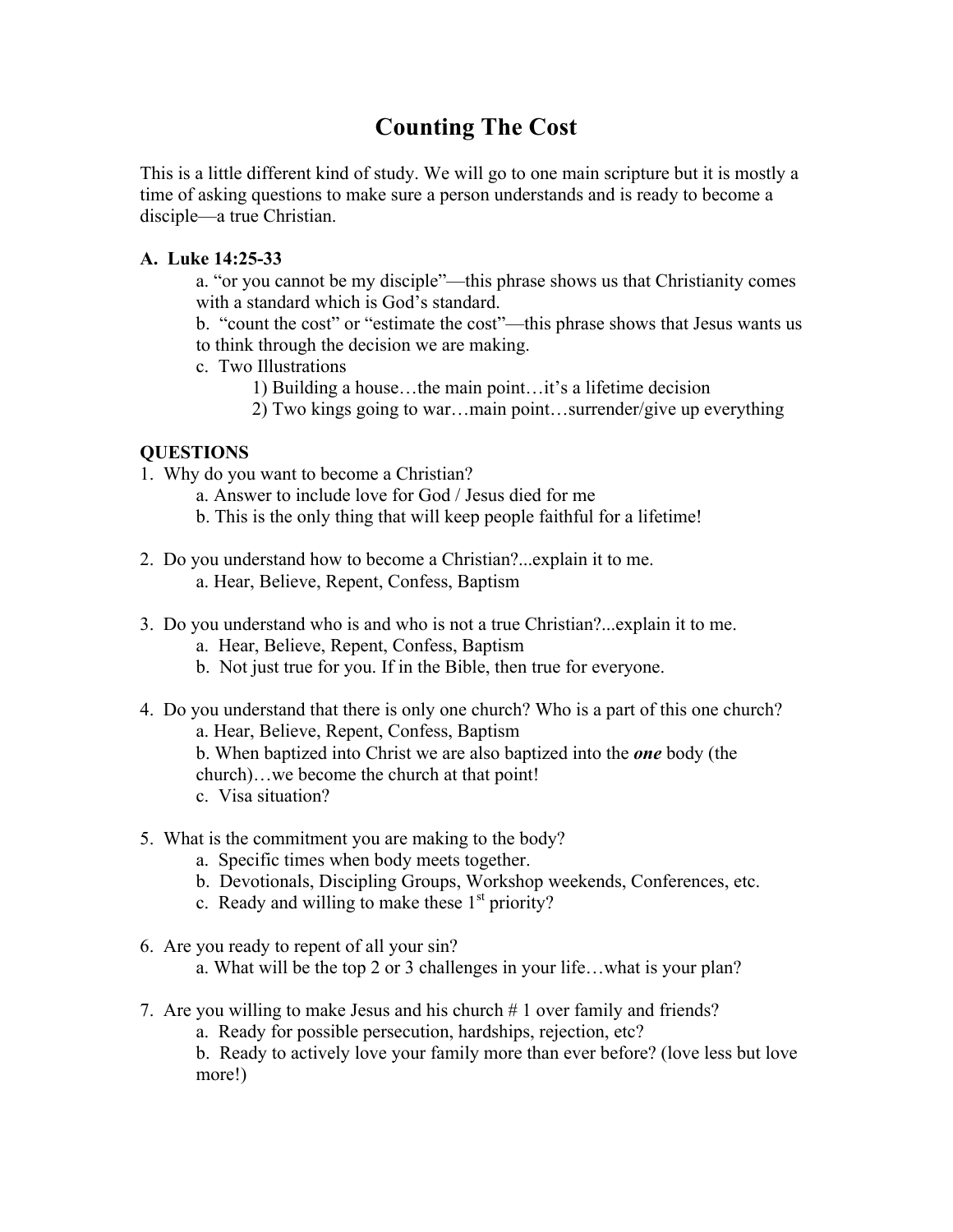# **Counting The Cost**

This is a little different kind of study. We will go to one main scripture but it is mostly a time of asking questions to make sure a person understands and is ready to become a disciple—a true Christian.

### **A. Luke 14:25-33**

- a. "or you cannot be my disciple"—this phrase shows us that Christianity comes with a standard which is God's standard.
- b. "count the cost" or "estimate the cost"—this phrase shows that Jesus wants us to think through the decision we are making.
- c. Two Illustrations
	- 1) Building a house…the main point…it's a lifetime decision
	- 2) Two kings going to war…main point…surrender/give up everything

### **QUESTIONS**

- 1. Why do you want to become a Christian?
	- a. Answer to include love for God / Jesus died for me
	- b. This is the only thing that will keep people faithful for a lifetime!
- 2. Do you understand how to become a Christian?...explain it to me. a. Hear, Believe, Repent, Confess, Baptism
- 3. Do you understand who is and who is not a true Christian?...explain it to me.
	- a. Hear, Believe, Repent, Confess, Baptism
	- b. Not just true for you. If in the Bible, then true for everyone.
- 4. Do you understand that there is only one church? Who is a part of this one church?
	- a. Hear, Believe, Repent, Confess, Baptism
	- b. When baptized into Christ we are also baptized into the *one* body (the church)…we become the church at that point!
	- c. Visa situation?
- 5. What is the commitment you are making to the body?
	- a. Specific times when body meets together.
	- b. Devotionals, Discipling Groups, Workshop weekends, Conferences, etc.
	- c. Ready and willing to make these  $1<sup>st</sup>$  priority?
- 6. Are you ready to repent of all your sin?
	- a. What will be the top 2 or 3 challenges in your life…what is your plan?
- 7. Are you willing to make Jesus and his church # 1 over family and friends?
	- a. Ready for possible persecution, hardships, rejection, etc?

b. Ready to actively love your family more than ever before? (love less but love more!)